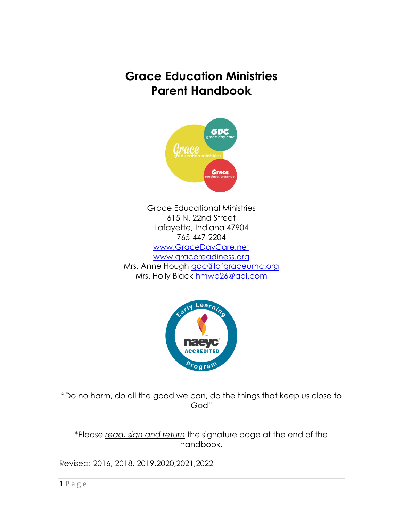# **Grace Education Ministries Parent Handbook**



Grace Educational Ministries 615 N. 22nd Street Lafayette, Indiana 47904 765-447-2204 [www.GraceDayCare.net](http://www.gracedaycare.net/) [www.gracereadiness.org](http://www.gracereadiness.org/) Mrs. Anne Hough [gdc@lafgraceumc.org](mailto:gdc@lafgraceumc.org) Mrs. Holly Black [hmwb26@aol.com](mailto:hmwb26@aol.com)



"Do no harm, do all the good we can, do the things that keep us close to God"

\*Please *read, sign and return* the signature page at the end of the handbook.

Revised: 2016, 2018, 2019,2020,2021,2022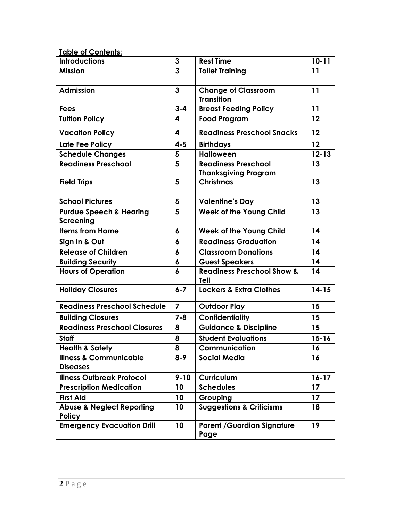| <b>Table of Contents:</b>                              |                  |                                                           |           |
|--------------------------------------------------------|------------------|-----------------------------------------------------------|-----------|
| <b>Introductions</b>                                   | $\mathbf{3}$     | <b>Rest Time</b>                                          | $10 - 11$ |
| <b>Mission</b>                                         | $\overline{3}$   | <b>Toilet Training</b>                                    | 11        |
| <b>Admission</b>                                       | $\overline{3}$   | <b>Change of Classroom</b><br><b>Transition</b>           | 11        |
| <b>Fees</b>                                            | $3 - 4$          | <b>Breast Feeding Policy</b>                              | 11        |
| <b>Tuition Policy</b>                                  | 4                | <b>Food Program</b>                                       | 12        |
| <b>Vacation Policy</b>                                 | 4                | <b>Readiness Preschool Snacks</b>                         | 12        |
| Late Fee Policy                                        | $4 - 5$          | <b>Birthdays</b>                                          | 12        |
| <b>Schedule Changes</b>                                | 5                | <b>Halloween</b>                                          | $12 - 13$ |
| <b>Readiness Preschool</b>                             | 5                | <b>Readiness Preschool</b><br><b>Thanksgiving Program</b> | 13        |
| <b>Field Trips</b>                                     | 5                | <b>Christmas</b>                                          | 13        |
| <b>School Pictures</b>                                 | 5                | <b>Valentine's Day</b>                                    | 13        |
| <b>Purdue Speech &amp; Hearing</b><br><b>Screening</b> | 5                | <b>Week of the Young Child</b>                            | 13        |
| <b>Items from Home</b>                                 | 6                | <b>Week of the Young Child</b>                            | 14        |
| Sign In & Out                                          | 6                | <b>Readiness Graduation</b>                               | 14        |
| <b>Release of Children</b>                             | 6                | 14<br><b>Classroom Donations</b>                          |           |
| <b>Building Security</b>                               | 6                | <b>Guest Speakers</b>                                     | 14        |
| <b>Hours of Operation</b>                              | $\boldsymbol{6}$ | <b>Readiness Preschool Show &amp;</b><br>Tell             | 14        |
| <b>Holiday Closures</b>                                | $6 - 7$          | <b>Lockers &amp; Extra Clothes</b>                        | $14 - 15$ |
| <b>Readiness Preschool Schedule</b>                    | $\overline{7}$   | <b>Outdoor Play</b>                                       | 15        |
| <b>Building Closures</b>                               | $7 - 8$          | <b>Confidentiality</b>                                    | 15        |
| <b>Readiness Preschool Closures</b>                    | 8                | <b>Guidance &amp; Discipline</b>                          | 15        |
| <b>Staff</b>                                           | 8                | <b>Student Evaluations</b>                                | $15 - 16$ |
| <b>Health &amp; Safety</b>                             | 8                | Communication                                             | 16        |
| <b>Illness &amp; Communicable</b><br><b>Diseases</b>   | $8 - 9$          | <b>Social Media</b>                                       | 16        |
| <b>Illness Outbreak Protocol</b>                       | $9 - 10$         | Curriculum                                                | $16 - 17$ |
| <b>Prescription Medication</b>                         | 10               | <b>Schedules</b>                                          | 17        |
| <b>First Aid</b>                                       | 10               | Grouping                                                  | 17        |
| <b>Abuse &amp; Neglect Reporting</b><br><b>Policy</b>  | 10               | <b>Suggestions &amp; Criticisms</b>                       | 18        |
| <b>Emergency Evacuation Drill</b>                      | 10               | <b>Parent / Guardian Signature</b><br>Page                | 19        |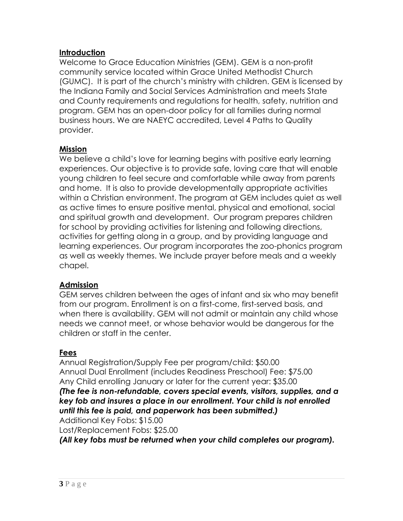#### **Introduction**

Welcome to Grace Education Ministries (GEM). GEM is a non-profit community service located within Grace United Methodist Church (GUMC). It is part of the church's ministry with children. GEM is licensed by the Indiana Family and Social Services Administration and meets State and County requirements and regulations for health, safety, nutrition and program. GEM has an open-door policy for all families during normal business hours. We are NAEYC accredited, Level 4 Paths to Quality provider.

### **Mission**

We believe a child's love for learning begins with positive early learning experiences. Our objective is to provide safe, loving care that will enable young children to feel secure and comfortable while away from parents and home. It is also to provide developmentally appropriate activities within a Christian environment. The program at GEM includes quiet as well as active times to ensure positive mental, physical and emotional, social and spiritual growth and development. Our program prepares children for school by providing activities for listening and following directions, activities for getting along in a group, and by providing language and learning experiences. Our program incorporates the zoo-phonics program as well as weekly themes. We include prayer before meals and a weekly chapel.

### **Admission**

GEM serves children between the ages of infant and six who may benefit from our program. Enrollment is on a first-come, first-served basis, and when there is availability. GEM will not admit or maintain any child whose needs we cannot meet, or whose behavior would be dangerous for the children or staff in the center.

# **Fees**

Annual Registration/Supply Fee per program/child: \$50.00 Annual Dual Enrollment (includes Readiness Preschool) Fee: \$75.00 Any Child enrolling January or later for the current year: \$35.00 *(The fee is non-refundable, covers special events, visitors, supplies, and a key fob and insures a place in our enrollment. Your child is not enrolled until this fee is paid, and paperwork has been submitted.)* Additional Key Fobs: \$15.00 Lost/Replacement Fobs: \$25.00

*(All key fobs must be returned when your child completes our program).*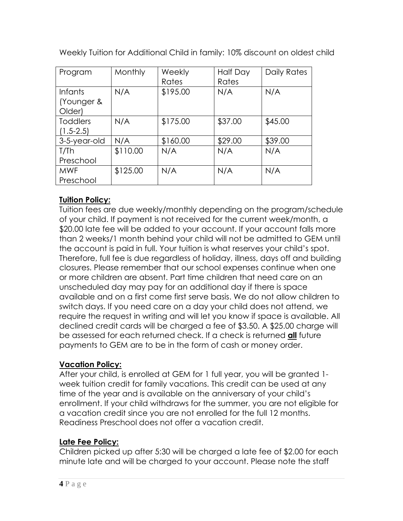| Program         | Monthly  | Weekly   | <b>Half Day</b> | Daily Rates |
|-----------------|----------|----------|-----------------|-------------|
|                 |          | Rates    | Rates           |             |
| <i>Infants</i>  | N/A      | \$195.00 | N/A             | N/A         |
| Younger &       |          |          |                 |             |
| Older)          |          |          |                 |             |
| <b>Toddlers</b> | N/A      | \$175.00 | \$37.00         | \$45.00     |
| $(1.5 - 2.5)$   |          |          |                 |             |
| 3-5-year-old    | N/A      | \$160.00 | \$29.00         | \$39.00     |
| T/Th            | \$110.00 | N/A      | N/A             | N/A         |
| Preschool       |          |          |                 |             |
| <b>MWF</b>      | \$125.00 | N/A      | N/A             | N/A         |
| Preschool       |          |          |                 |             |

Weekly Tuition for Additional Child in family: 10% discount on oldest child

# **Tuition Policy:**

Tuition fees are due weekly/monthly depending on the program/schedule of your child. If payment is not received for the current week/month, a \$20.00 late fee will be added to your account. If your account falls more than 2 weeks/1 month behind your child will not be admitted to GEM until the account is paid in full. Your tuition is what reserves your child's spot. Therefore, full fee is due regardless of holiday, illness, days off and building closures. Please remember that our school expenses continue when one or more children are absent. Part time children that need care on an unscheduled day may pay for an additional day if there is space available and on a first come first serve basis. We do not allow children to switch days. If you need care on a day your child does not attend, we require the request in writing and will let you know if space is available. All declined credit cards will be charged a fee of \$3.50. A \$25.00 charge will be assessed for each returned check. If a check is returned **all** future payments to GEM are to be in the form of cash or money order.

### **Vacation Policy:**

After your child, is enrolled at GEM for 1 full year, you will be granted 1 week tuition credit for family vacations. This credit can be used at any time of the year and is available on the anniversary of your child's enrollment. If your child withdraws for the summer, you are not eligible for a vacation credit since you are not enrolled for the full 12 months. Readiness Preschool does not offer a vacation credit.

# **Late Fee Policy:**

Children picked up after 5:30 will be charged a late fee of \$2.00 for each minute late and will be charged to your account. Please note the staff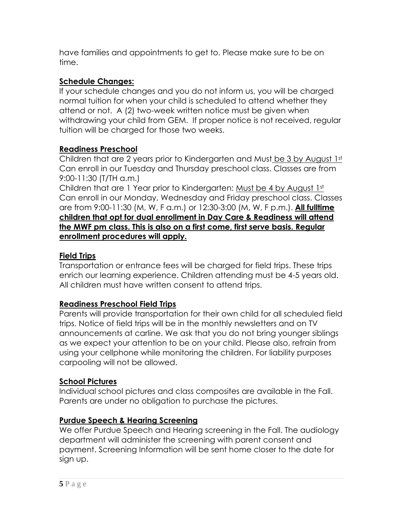have families and appointments to get to. Please make sure to be on time.

# **Schedule Changes:**

If your schedule changes and you do not inform us, you will be charged normal tuition for when your child is scheduled to attend whether they attend or not. A (2) two-week written notice must be given when withdrawing your child from GEM. If proper notice is not received, regular tuition will be charged for those two weeks.

### **Readiness Preschool**

Children that are 2 years prior to Kindergarten and Must be 3 by August 1st Can enroll in our Tuesday and Thursday preschool class. Classes are from 9:00-11:30 (T/TH a.m.)

Children that are 1 Year prior to Kindergarten: Must be 4 by August 1st Can enroll in our Monday, Wednesday and Friday preschool class. Classes are from 9:00-11:30 (M, W, F a.m.) or 12:30-3:00 (M, W, F p.m.). **All fulltime children that opt for dual enrollment in Day Care & Readiness will attend the MWF pm class. This is also on a first come, first serve basis. Regular enrollment procedures will apply.**

### **Field Trips**

Transportation or entrance fees will be charged for field trips. These trips enrich our learning experience. Children attending must be 4-5 years old. All children must have written consent to attend trips.

### **Readiness Preschool Field Trips**

Parents will provide transportation for their own child for all scheduled field trips. Notice of field trips will be in the monthly newsletters and on TV announcements at carline. We ask that you do not bring younger siblings as we expect your attention to be on your child. Please also, refrain from using your cellphone while monitoring the children. For liability purposes carpooling will not be allowed.

### **School Pictures**

Individual school pictures and class composites are available in the Fall. Parents are under no obligation to purchase the pictures.

### **Purdue Speech & Hearing Screening**

We offer Purdue Speech and Hearing screening in the Fall. The audiology department will administer the screening with parent consent and payment. Screening Information will be sent home closer to the date for sign up.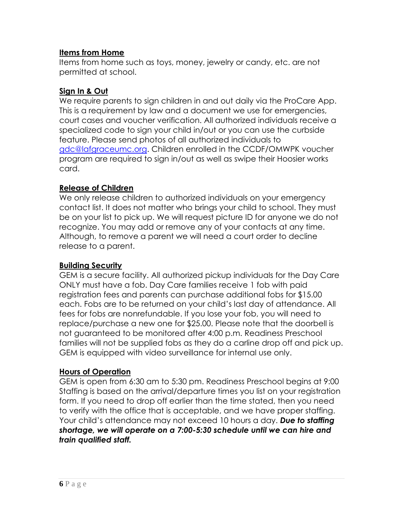#### **Items from Home**

Items from home such as toys, money, jewelry or candy, etc. are not permitted at school.

#### **Sign In & Out**

We require parents to sign children in and out daily via the ProCare App. This is a requirement by law and a document we use for emergencies, court cases and voucher verification. All authorized individuals receive a specialized code to sign your child in/out or you can use the curbside feature. Please send photos of all authorized individuals to [gdc@lafgraceumc.org.](mailto:gdc@lafgraceumc.org) Children enrolled in the CCDF/OMWPK voucher program are required to sign in/out as well as swipe their Hoosier works card.

#### **Release of Children**

We only release children to authorized individuals on your emergency contact list. It does not matter who brings your child to school. They must be on your list to pick up. We will request picture ID for anyone we do not recognize. You may add or remove any of your contacts at any time. Although, to remove a parent we will need a court order to decline release to a parent.

#### **Building Security**

GEM is a secure facility. All authorized pickup individuals for the Day Care ONLY must have a fob. Day Care families receive 1 fob with paid registration fees and parents can purchase additional fobs for \$15.00 each. Fobs are to be returned on your child's last day of attendance. All fees for fobs are nonrefundable. If you lose your fob, you will need to replace/purchase a new one for \$25.00. Please note that the doorbell is not guaranteed to be monitored after 4:00 p.m. Readiness Preschool families will not be supplied fobs as they do a carline drop off and pick up. GEM is equipped with video surveillance for internal use only.

### **Hours of Operation**

GEM is open from 6:30 am to 5:30 pm. Readiness Preschool begins at 9:00 Staffing is based on the arrival/departure times you list on your registration form. If you need to drop off earlier than the time stated, then you need to verify with the office that is acceptable, and we have proper staffing. Your child's attendance may not exceed 10 hours a day. *Due to staffing shortage, we will operate on a 7:00-5:30 schedule until we can hire and train qualified staff.*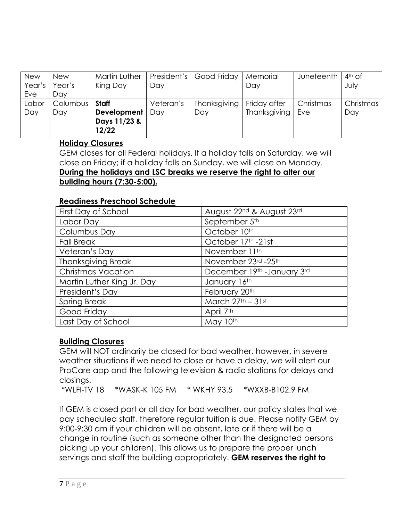| <b>New</b> | <b>New</b> | Martin Luther |           | President's   Good Friday | Memorial     | Juneteenth | $4th$ of  |
|------------|------------|---------------|-----------|---------------------------|--------------|------------|-----------|
| Year's     | Year's     | King Day      | Day       |                           | Day          |            | July      |
| Eve        | Day        |               |           |                           |              |            |           |
| Labor      | Columbus   | Staff         | Veteran's | Thanksgiving              | Friday after | Christmas  | Christmas |
| Day        | Day        | Development   | Dav       | Day                       | Thanksgiving | Eve        | Day       |
|            |            | Days 11/23 &  |           |                           |              |            |           |
|            |            | 12/22         |           |                           |              |            |           |

#### **Holiday Closures**

GEM closes for all Federal holidays. If a holiday falls on Saturday, we will close on Friday; if a holiday falls on Sunday, we will close on Monday. **During the holidays and LSC breaks we reserve the right to alter our building hours (7:30-5:00).**

#### **Readiness Preschool Schedule**

| First Day of School        | August 22nd & August 23rd   |
|----------------------------|-----------------------------|
| Labor Day                  | September 5th               |
| Columbus Day               | October 10th                |
| <b>Fall Break</b>          | October 17th -21st          |
| Veteran's Day              | November 11th               |
| <b>Thanksgiving Break</b>  | November 23rd - 25th        |
| <b>Christmas Vacation</b>  | December 19th - January 3rd |
| Martin Luther King Jr. Day | January 16th                |
| President's Day            | February 20th               |
| <b>Spring Break</b>        | March $27th - 31st$         |
| Good Friday                | April 7th                   |
| Last Day of School         | May 10th                    |

### **Building Closures**

GEM will NOT ordinarily be closed for bad weather, however, in severe weather situations if we need to close or have a delay, we will alert our ProCare app and the following television & radio stations for delays and closings.

\*WLFI-TV 18 \*WASK-K 105 FM \* WKHY 93.5 \*WXXB-B102.9 FM

If GEM is closed part or all day for bad weather, our policy states that we pay scheduled staff, therefore regular tuition is due. Please notify GEM by 9:00-9:30 am if your children will be absent, late or if there will be a change in routine (such as someone other than the designated persons picking up your children). This allows us to prepare the proper lunch servings and staff the building appropriately. **GEM reserves the right to**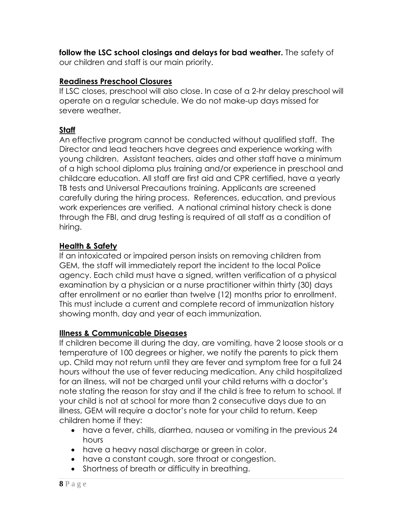**follow the LSC school closings and delays for bad weather.** The safety of our children and staff is our main priority.

### **Readiness Preschool Closures**

If LSC closes, preschool will also close. In case of a 2-hr delay preschool will operate on a regular schedule. We do not make-up days missed for severe weather.

### **Staff**

An effective program cannot be conducted without qualified staff. The Director and lead teachers have degrees and experience working with young children. Assistant teachers, aides and other staff have a minimum of a high school diploma plus training and/or experience in preschool and childcare education. All staff are first aid and CPR certified, have a yearly TB tests and Universal Precautions training. Applicants are screened carefully during the hiring process. References, education, and previous work experiences are verified. A national criminal history check is done through the FBI, and drug testing is required of all staff as a condition of hiring.

### **Health & Safety**

If an intoxicated or impaired person insists on removing children from GEM, the staff will immediately report the incident to the local Police agency. Each child must have a signed, written verification of a physical examination by a physician or a nurse practitioner within thirty (30) days after enrollment or no earlier than twelve (12) months prior to enrollment. This must include a current and complete record of immunization history showing month, day and year of each immunization.

### **Illness & Communicable Diseases**

If children become ill during the day, are vomiting, have 2 loose stools or a temperature of 100 degrees or higher, we notify the parents to pick them up. Child may not return until they are fever and symptom free for a full 24 hours without the use of fever reducing medication. Any child hospitalized for an illness, will not be charged until your child returns with a doctor's note stating the reason for stay and if the child is free to return to school. If your child is not at school for more than 2 consecutive days due to an illness, GEM will require a doctor's note for your child to return. Keep children home if they:

- have a fever, chills, diarrhea, nausea or vomiting in the previous 24 hours
- have a heavy nasal discharge or green in color.
- have a constant cough, sore throat or congestion.
- Shortness of breath or difficulty in breathing.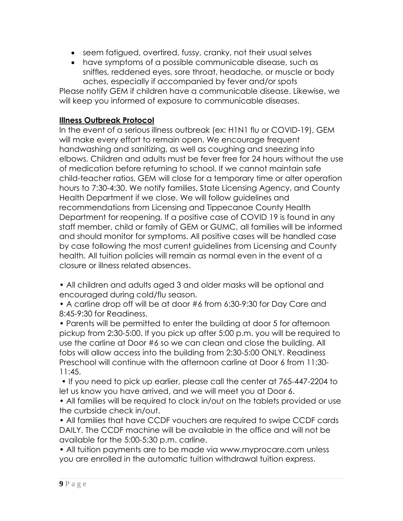- seem fatigued, overtired, fussy, cranky, not their usual selves
- have symptoms of a possible communicable disease, such as sniffles, reddened eyes, sore throat, headache, or muscle or body aches, especially if accompanied by fever and/or spots

Please notify GEM if children have a communicable disease. Likewise, we will keep you informed of exposure to communicable diseases.

#### **Illness Outbreak Protocol**

In the event of a serious illness outbreak (ex: H1N1 flu or COVID-19), GEM will make every effort to remain open. We encourage frequent handwashing and sanitizing, as well as coughing and sneezing into elbows. Children and adults must be fever free for 24 hours without the use of medication before returning to school. If we cannot maintain safe child-teacher ratios, GEM will close for a temporary time or alter operation hours to 7:30-4:30. We notify families, State Licensing Agency, and County Health Department if we close. We will follow guidelines and recommendations from Licensing and Tippecanoe County Health Department for reopening. If a positive case of COVID 19 is found in any staff member, child or family of GEM or GUMC, all families will be informed and should monitor for symptoms. All positive cases will be handled case by case following the most current guidelines from Licensing and County health. All tuition policies will remain as normal even in the event of a closure or illness related absences.

• All children and adults aged 3 and older masks will be optional and encouraged during cold/flu season.

• A carline drop off will be at door #6 from 6:30-9:30 for Day Care and 8:45-9:30 for Readiness.

• Parents will be permitted to enter the building at door 5 for afternoon pickup from 2:30-5:00. If you pick up after 5:00 p.m. you will be required to use the carline at Door #6 so we can clean and close the building. All fobs will allow access into the building from 2:30-5:00 ONLY. Readiness Preschool will continue with the afternoon carline at Door 6 from 11:30- 11:45.

• If you need to pick up earlier, please call the center at 765-447-2204 to let us know you have arrived, and we will meet you at Door 6.

• All families will be required to clock in/out on the tablets provided or use the curbside check in/out.

• All families that have CCDF vouchers are required to swipe CCDF cards DAILY. The CCDF machine will be available in the office and will not be available for the 5:00-5:30 p.m. carline.

• All tuition payments are to be made via www.myprocare.com unless you are enrolled in the automatic tuition withdrawal tuition express.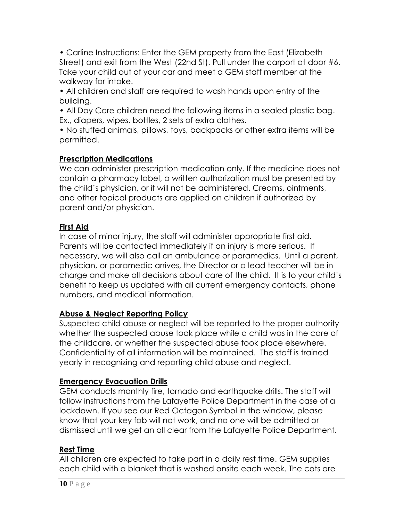• Carline Instructions: Enter the GEM property from the East (Elizabeth Street) and exit from the West (22nd St). Pull under the carport at door #6. Take your child out of your car and meet a GEM staff member at the walkway for intake.

• All children and staff are required to wash hands upon entry of the building.

• All Day Care children need the following items in a sealed plastic bag. Ex., diapers, wipes, bottles, 2 sets of extra clothes.

• No stuffed animals, pillows, toys, backpacks or other extra items will be permitted.

### **Prescription Medications**

We can administer prescription medication only. If the medicine does not contain a pharmacy label, a written authorization must be presented by the child's physician, or it will not be administered. Creams, ointments, and other topical products are applied on children if authorized by parent and/or physician.

### **First Aid**

In case of minor injury, the staff will administer appropriate first aid. Parents will be contacted immediately if an injury is more serious. If necessary, we will also call an ambulance or paramedics. Until a parent, physician, or paramedic arrives, the Director or a lead teacher will be in charge and make all decisions about care of the child. It is to your child's benefit to keep us updated with all current emergency contacts, phone numbers, and medical information.

# **Abuse & Neglect Reporting Policy**

Suspected child abuse or neglect will be reported to the proper authority whether the suspected abuse took place while a child was in the care of the childcare, or whether the suspected abuse took place elsewhere. Confidentiality of all information will be maintained. The staff is trained yearly in recognizing and reporting child abuse and neglect.

# **Emergency Evacuation Drills**

GEM conducts monthly fire, tornado and earthquake drills. The staff will follow instructions from the Lafayette Police Department in the case of a lockdown. If you see our Red Octagon Symbol in the window, please know that your key fob will not work, and no one will be admitted or dismissed until we get an all clear from the Lafayette Police Department.

### **Rest Time**

All children are expected to take part in a daily rest time. GEM supplies each child with a blanket that is washed onsite each week. The cots are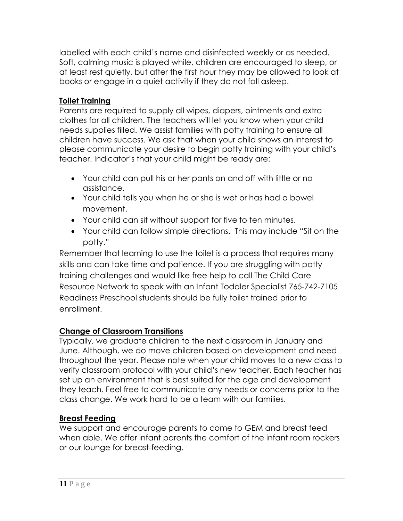labelled with each child's name and disinfected weekly or as needed. Soft, calming music is played while, children are encouraged to sleep, or at least rest quietly, but after the first hour they may be allowed to look at books or engage in a quiet activity if they do not fall asleep.

# **Toilet Training**

Parents are required to supply all wipes, diapers, ointments and extra clothes for all children. The teachers will let you know when your child needs supplies filled. We assist families with potty training to ensure all children have success. We ask that when your child shows an interest to please communicate your desire to begin potty training with your child's teacher. Indicator's that your child might be ready are:

- Your child can pull his or her pants on and off with little or no assistance.
- Your child tells you when he or she is wet or has had a bowel movement.
- Your child can sit without support for five to ten minutes.
- Your child can follow simple directions. This may include "Sit on the potty."

Remember that learning to use the toilet is a process that requires many skills and can take time and patience. If you are struggling with potty training challenges and would like free help to call The Child Care Resource Network to speak with an Infant Toddler Specialist 765-742-7105 Readiness Preschool students should be fully toilet trained prior to enrollment.

# **Change of Classroom Transitions**

Typically, we graduate children to the next classroom in January and June. Although, we do move children based on development and need throughout the year. Please note when your child moves to a new class to verify classroom protocol with your child's new teacher. Each teacher has set up an environment that is best suited for the age and development they teach. Feel free to communicate any needs or concerns prior to the class change. We work hard to be a team with our families.

# **Breast Feeding**

We support and encourage parents to come to GEM and breast feed when able. We offer infant parents the comfort of the infant room rockers or our lounge for breast-feeding.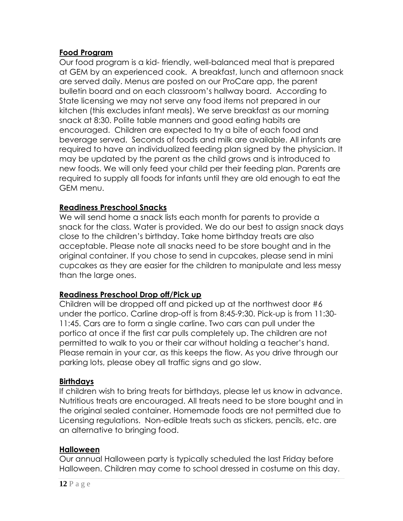#### **Food Program**

Our food program is a kid- friendly, well-balanced meal that is prepared at GEM by an experienced cook. A breakfast, lunch and afternoon snack are served daily. Menus are posted on our ProCare app, the parent bulletin board and on each classroom's hallway board. According to State licensing we may not serve any food items not prepared in our kitchen (this excludes infant meals). We serve breakfast as our morning snack at 8:30. Polite table manners and good eating habits are encouraged. Children are expected to try a bite of each food and beverage served. Seconds of foods and milk are available. All infants are required to have an individualized feeding plan signed by the physician. It may be updated by the parent as the child grows and is introduced to new foods. We will only feed your child per their feeding plan. Parents are required to supply all foods for infants until they are old enough to eat the GEM menu.

#### **Readiness Preschool Snacks**

We will send home a snack lists each month for parents to provide a snack for the class. Water is provided. We do our best to assign snack days close to the children's birthday. Take home birthday treats are also acceptable. Please note all snacks need to be store bought and in the original container. If you chose to send in cupcakes, please send in mini cupcakes as they are easier for the children to manipulate and less messy than the large ones.

#### **Readiness Preschool Drop off/Pick up**

Children will be dropped off and picked up at the northwest door #6 under the portico. Carline drop-off is from 8:45-9:30. Pick-up is from 11:30- 11:45. Cars are to form a single carline. Two cars can pull under the portico at once if the first car pulls completely up. The children are not permitted to walk to you or their car without holding a teacher's hand. Please remain in your car, as this keeps the flow. As you drive through our parking lots, please obey all traffic signs and go slow.

#### **Birthdays**

If children wish to bring treats for birthdays, please let us know in advance. Nutritious treats are encouraged. All treats need to be store bought and in the original sealed container. Homemade foods are not permitted due to Licensing regulations. Non-edible treats such as stickers, pencils, etc. are an alternative to bringing food.

#### **Halloween**

Our annual Halloween party is typically scheduled the last Friday before Halloween. Children may come to school dressed in costume on this day.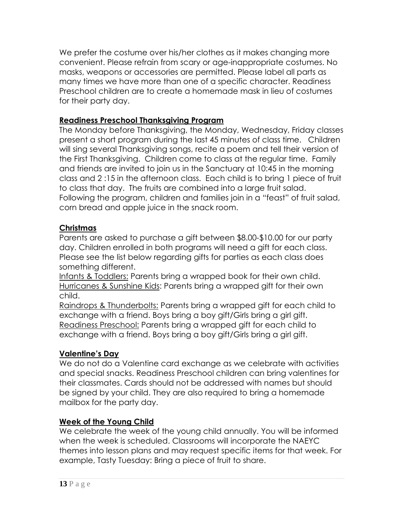We prefer the costume over his/her clothes as it makes changing more convenient. Please refrain from scary or age-inappropriate costumes. No masks, weapons or accessories are permitted. Please label all parts as many times we have more than one of a specific character. Readiness Preschool children are to create a homemade mask in lieu of costumes for their party day.

### **Readiness Preschool Thanksgiving Program**

The Monday before Thanksgiving, the Monday, Wednesday, Friday classes present a short program during the last 45 minutes of class time. Children will sing several Thanksgiving songs, recite a poem and tell their version of the First Thanksgiving. Children come to class at the regular time. Family and friends are invited to join us in the Sanctuary at 10:45 in the morning class and 2 :15 in the afternoon class. Each child is to bring 1 piece of fruit to class that day. The fruits are combined into a large fruit salad. Following the program, children and families join in a "feast" of fruit salad, corn bread and apple juice in the snack room.

### **Christmas**

Parents are asked to purchase a gift between \$8.00-\$10.00 for our party day. Children enrolled in both programs will need a gift for each class. Please see the list below regarding gifts for parties as each class does something different.

Infants & Toddlers: Parents bring a wrapped book for their own child. Hurricanes & Sunshine Kids: Parents bring a wrapped gift for their own child.

Raindrops & Thunderbolts: Parents bring a wrapped gift for each child to exchange with a friend. Boys bring a boy gift/Girls bring a girl gift. Readiness Preschool: Parents bring a wrapped gift for each child to exchange with a friend. Boys bring a boy gift/Girls bring a girl gift.

### **Valentine's Day**

We do not do a Valentine card exchange as we celebrate with activities and special snacks. Readiness Preschool children can bring valentines for their classmates. Cards should not be addressed with names but should be signed by your child. They are also required to bring a homemade mailbox for the party day.

### **Week of the Young Child**

We celebrate the week of the young child annually. You will be informed when the week is scheduled. Classrooms will incorporate the NAEYC themes into lesson plans and may request specific items for that week. For example, Tasty Tuesday: Bring a piece of fruit to share.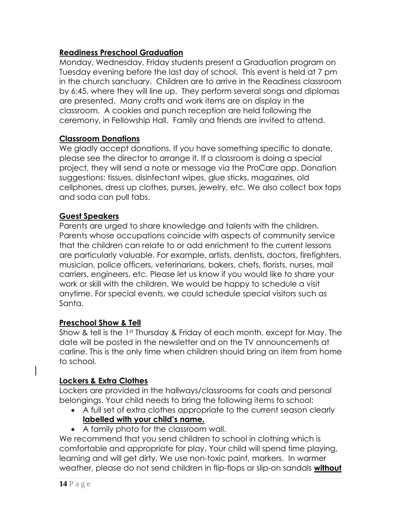#### **Readiness Preschool Graduation**

Monday, Wednesday, Friday students present a Graduation program on Tuesday evening before the last day of school. This event is held at 7 pm in the church sanctuary. Children are to arrive in the Readiness classroom by 6:45, where they will line up. They perform several songs and diplomas are presented. Many crafts and work items are on display in the classroom. A cookies and punch reception are held following the ceremony, in Fellowship Hall. Family and friends are invited to attend.

#### **Classroom Donations**

We gladly accept donations. If you have something specific to donate, please see the director to arrange it. If a classroom is doing a special project, they will send a note or message via the ProCare app. Donation suggestions: tissues, disinfectant wipes, glue sticks, magazines, old cellphones, dress up clothes, purses, jewelry, etc. We also collect box tops and soda can pull tabs.

#### **Guest Speakers**

Parents are urged to share knowledge and talents with the children. Parents whose occupations coincide with aspects of community service that the children can relate to or add enrichment to the current lessons are particularly valuable. For example, artists, dentists, doctors, firefighters, musician, police officers, veterinarians, bakers, chefs, florists, nurses, mail carriers, engineers, etc. Please let us know if you would like to share your work or skill with the children. We would be happy to schedule a visit anytime. For special events, we could schedule special visitors such as Santa.

#### **Preschool Show & Tell**

Show & tell is the 1<sup>st</sup> Thursday & Friday of each month, except for May. The date will be posted in the newsletter and on the TV announcements at carline. This is the only time when children should bring an item from home to school.

#### **Lockers & Extra Clothes**

Lockers are provided in the hallways/classrooms for coats and personal belongings. Your child needs to bring the following items to school:

- A full set of extra clothes appropriate to the current season clearly **labelled with your child's name.**
- A family photo for the classroom wall.

We recommend that you send children to school in clothing which is comfortable and appropriate for play. Your child will spend time playing, learning and will get dirty. We use non-toxic paint, markers. In warmer weather, please do not send children in flip-flops or slip-on sandals **without**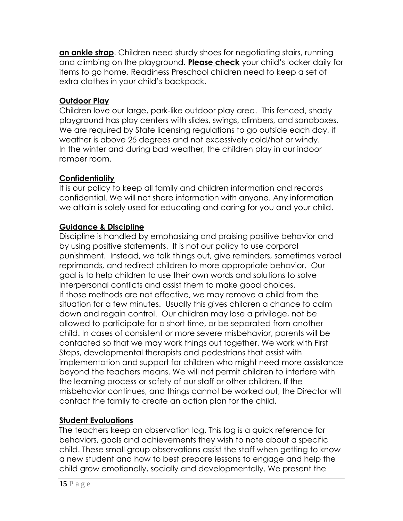**an ankle strap**. Children need sturdy shoes for negotiating stairs, running and climbing on the playground. **Please check** your child's locker daily for items to go home. Readiness Preschool children need to keep a set of extra clothes in your child's backpack.

# **Outdoor Play**

Children love our large, park-like outdoor play area. This fenced, shady playground has play centers with slides, swings, climbers, and sandboxes. We are required by State licensing regulations to go outside each day, if weather is above 25 degrees and not excessively cold/hot or windy. In the winter and during bad weather, the children play in our indoor romper room.

# **Confidentiality**

It is our policy to keep all family and children information and records confidential. We will not share information with anyone. Any information we attain is solely used for educating and caring for you and your child.

### **Guidance & Discipline**

Discipline is handled by emphasizing and praising positive behavior and by using positive statements. It is not our policy to use corporal punishment. Instead, we talk things out, give reminders, sometimes verbal reprimands, and redirect children to more appropriate behavior. Our goal is to help children to use their own words and solutions to solve interpersonal conflicts and assist them to make good choices. If those methods are not effective, we may remove a child from the situation for a few minutes. Usually this gives children a chance to calm down and regain control. Our children may lose a privilege, not be allowed to participate for a short time, or be separated from another child. In cases of consistent or more severe misbehavior, parents will be contacted so that we may work things out together. We work with First Steps, developmental therapists and pedestrians that assist with implementation and support for children who might need more assistance beyond the teachers means. We will not permit children to interfere with the learning process or safety of our staff or other children. If the misbehavior continues, and things cannot be worked out, the Director will contact the family to create an action plan for the child.

# **Student Evaluations**

The teachers keep an observation log. This log is a quick reference for behaviors, goals and achievements they wish to note about a specific child. These small group observations assist the staff when getting to know a new student and how to best prepare lessons to engage and help the child grow emotionally, socially and developmentally. We present the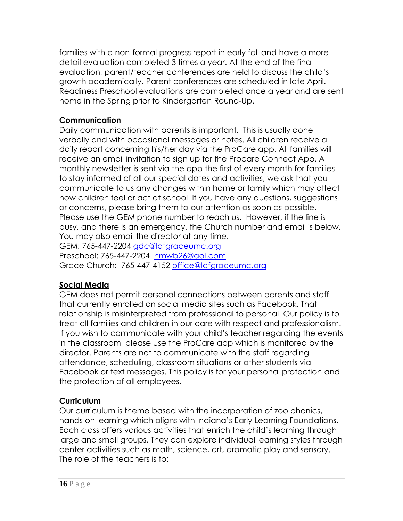families with a non-formal progress report in early fall and have a more detail evaluation completed 3 times a year. At the end of the final evaluation, parent/teacher conferences are held to discuss the child's growth academically. Parent conferences are scheduled in late April. Readiness Preschool evaluations are completed once a year and are sent home in the Spring prior to Kindergarten Round-Up.

### **Communication**

Daily communication with parents is important. This is usually done verbally and with occasional messages or notes. All children receive a daily report concerning his/her day via the ProCare app. All families will receive an email invitation to sign up for the Procare Connect App. A monthly newsletter is sent via the app the first of every month for families to stay informed of all our special dates and activities, we ask that you communicate to us any changes within home or family which may affect how children feel or act at school. If you have any questions, suggestions or concerns, please bring them to our attention as soon as possible. Please use the GEM phone number to reach us. However, if the line is busy, and there is an emergency, the Church number and email is below. You may also email the director at any time.

GEM: 765-447-2204 [gdc@lafgraceumc.org](mailto:gdc@lafgraceumc.org) Preschool: 765-447-2204 [hmwb26@aol.com](mailto:hmwb26@aol.com) Grace Church: 765-447-4152 [office@lafgraceumc.org](mailto:office@lafgraceumc.org)

# **Social Media**

GEM does not permit personal connections between parents and staff that currently enrolled on social media sites such as Facebook. That relationship is misinterpreted from professional to personal. Our policy is to treat all families and children in our care with respect and professionalism. If you wish to communicate with your child's teacher regarding the events in the classroom, please use the ProCare app which is monitored by the director. Parents are not to communicate with the staff regarding attendance, scheduling, classroom situations or other students via Facebook or text messages. This policy is for your personal protection and the protection of all employees.

# **Curriculum**

Our curriculum is theme based with the incorporation of zoo phonics, hands on learning which aligns with Indiana's Early Learning Foundations. Each class offers various activities that enrich the child's learning through large and small groups. They can explore individual learning styles through center activities such as math, science, art, dramatic play and sensory. The role of the teachers is to: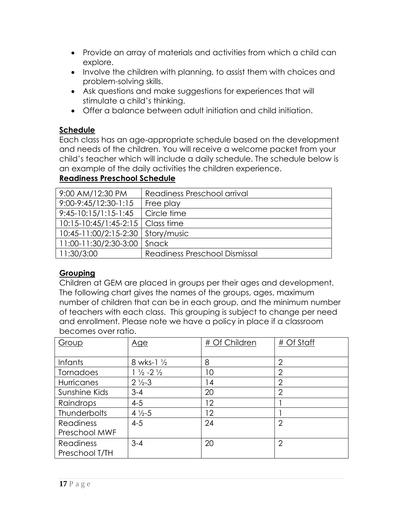- Provide an array of materials and activities from which a child can explore.
- Involve the children with planning, to assist them with choices and problem-solving skills.
- Ask questions and make suggestions for experiences that will stimulate a child's thinking.
- Offer a balance between adult initiation and child initiation.

### **Schedule**

Each class has an age-appropriate schedule based on the development and needs of the children. You will receive a welcome packet from your child's teacher which will include a daily schedule. The schedule below is an example of the daily activities the children experience.

# **Readiness Preschool Schedule**

| 9:00 AM/12:30 PM                   | Readiness Preschool arrival          |
|------------------------------------|--------------------------------------|
| 9:00-9:45/12:30-1:15               | Free play                            |
| $9:45-10:15/1:15-1:45$             | Circle time                          |
| 10:15-10:45/1:45-2:15   Class time |                                      |
| 10:45-11:00/2:15-2:30              | Story/music                          |
| 11:00-11:30/2:30-3:00              | Snack                                |
| 11:30/3:00                         | <b>Readiness Preschool Dismissal</b> |

# **Grouping**

Children at GEM are placed in groups per their ages and development. The following chart gives the names of the groups, ages, maximum number of children that can be in each group, and the minimum number of teachers with each class. This grouping is subject to change per need and enrollment. Please note we have a policy in place if a classroom becomes over ratio.

| Group               | <u>Age</u>                    | # Of Children | # Of Staff     |
|---------------------|-------------------------------|---------------|----------------|
|                     |                               |               |                |
| <b>Infants</b>      | 8 wks-1 $\frac{1}{2}$         | 8             | $\overline{2}$ |
| Tornadoes           | $1\frac{1}{2} - 2\frac{1}{2}$ | 10            | $\overline{2}$ |
| Hurricanes          | $2\frac{1}{2} - 3$            | 14            | $\overline{2}$ |
| Sunshine Kids       | $3 - 4$                       | 20            | $\overline{2}$ |
| Raindrops           | $4 - 5$                       | 12            |                |
| <b>Thunderbolts</b> | $4\frac{1}{2} - 5$            | 12            |                |
| <b>Readiness</b>    | $4 - 5$                       | 24            | $\overline{2}$ |
| Preschool MWF       |                               |               |                |
| <b>Readiness</b>    | $3 - 4$                       | 20            | $\overline{2}$ |
| Preschool T/TH      |                               |               |                |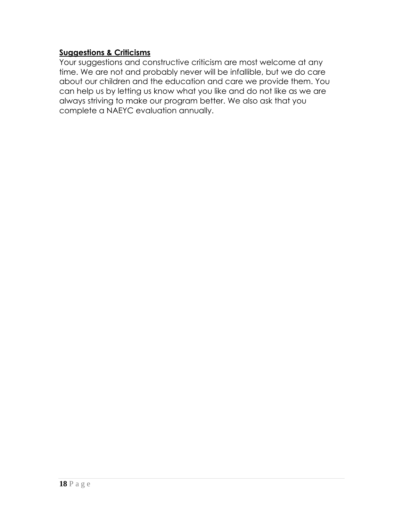#### **Suggestions & Criticisms**

Your suggestions and constructive criticism are most welcome at any time. We are not and probably never will be infallible, but we do care about our children and the education and care we provide them. You can help us by letting us know what you like and do not like as we are always striving to make our program better. We also ask that you complete a NAEYC evaluation annually.